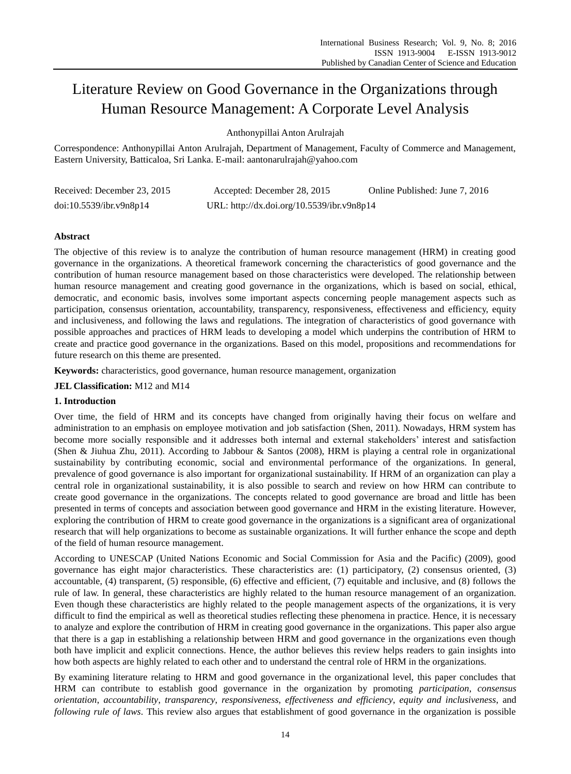# Literature Review on Good Governance in the Organizations through Human Resource Management: A Corporate Level Analysis

Anthonypillai Anton Arulrajah

Correspondence: Anthonypillai Anton Arulrajah, Department of Management, Faculty of Commerce and Management, Eastern University, Batticaloa, Sri Lanka. E-mail: aantonarulrajah@yahoo.com

| Received: December 23, 2015 | Accepted: December 28, 2015                | Online Published: June 7, 2016 |
|-----------------------------|--------------------------------------------|--------------------------------|
| doi:10.5539/ibr.v9n8p14     | URL: http://dx.doi.org/10.5539/ibr.v9n8p14 |                                |

# **Abstract**

The objective of this review is to analyze the contribution of human resource management (HRM) in creating good governance in the organizations. A theoretical framework concerning the characteristics of good governance and the contribution of human resource management based on those characteristics were developed. The relationship between human resource management and creating good governance in the organizations, which is based on social, ethical, democratic, and economic basis, involves some important aspects concerning people management aspects such as participation, consensus orientation, accountability, transparency, responsiveness, effectiveness and efficiency, equity and inclusiveness, and following the laws and regulations. The integration of characteristics of good governance with possible approaches and practices of HRM leads to developing a model which underpins the contribution of HRM to create and practice good governance in the organizations. Based on this model, propositions and recommendations for future research on this theme are presented.

**Keywords:** characteristics, good governance, human resource management, organization

**JEL Classification:** M12 and M14

## **1. Introduction**

Over time, the field of HRM and its concepts have changed from originally having their focus on welfare and administration to an emphasis on employee motivation and job satisfaction (Shen, 2011). Nowadays, HRM system has become more socially responsible and it addresses both internal and external stakeholders" interest and satisfaction (Shen & Jiuhua Zhu, 2011). According to Jabbour & Santos (2008), HRM is playing a central role in organizational sustainability by contributing economic, social and environmental performance of the organizations. In general, prevalence of good governance is also important for organizational sustainability. If HRM of an organization can play a central role in organizational sustainability, it is also possible to search and review on how HRM can contribute to create good governance in the organizations. The concepts related to good governance are broad and little has been presented in terms of concepts and association between good governance and HRM in the existing literature. However, exploring the contribution of HRM to create good governance in the organizations is a significant area of organizational research that will help organizations to become as sustainable organizations. It will further enhance the scope and depth of the field of human resource management.

According to UNESCAP (United Nations Economic and Social Commission for Asia and the Pacific) (2009), good governance has eight major characteristics. These characteristics are: (1) participatory, (2) consensus oriented, (3) accountable, (4) transparent, (5) responsible, (6) effective and efficient, (7) equitable and inclusive, and (8) follows the rule of law. In general, these characteristics are highly related to the human resource management of an organization. Even though these characteristics are highly related to the people management aspects of the organizations, it is very difficult to find the empirical as well as theoretical studies reflecting these phenomena in practice. Hence, it is necessary to analyze and explore the contribution of HRM in creating good governance in the organizations. This paper also argue that there is a gap in establishing a relationship between HRM and good governance in the organizations even though both have implicit and explicit connections. Hence, the author believes this review helps readers to gain insights into how both aspects are highly related to each other and to understand the central role of HRM in the organizations.

By examining literature relating to HRM and good governance in the organizational level, this paper concludes that HRM can contribute to establish good governance in the organization by promoting *participation*, *consensus orientation*, *accountability*, *transparency*, *responsiveness*, *effectiveness and efficiency*, *equity and inclusiveness*, and *following rule of laws*. This review also argues that establishment of good governance in the organization is possible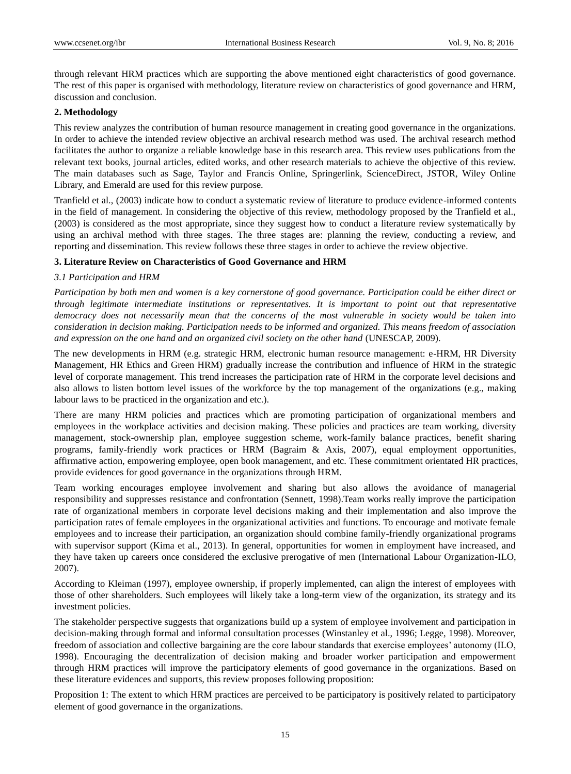through relevant HRM practices which are supporting the above mentioned eight characteristics of good governance. The rest of this paper is organised with methodology, literature review on characteristics of good governance and HRM, discussion and conclusion.

## **2. Methodology**

This review analyzes the contribution of human resource management in creating good governance in the organizations. In order to achieve the intended review objective an archival research method was used. The archival research method facilitates the author to organize a reliable knowledge base in this research area. This review uses publications from the relevant text books, journal articles, edited works, and other research materials to achieve the objective of this review. The main databases such as Sage, Taylor and Francis Online, Springerlink, ScienceDirect, JSTOR, Wiley Online Library, and Emerald are used for this review purpose.

Tranfield et al., (2003) indicate how to conduct a systematic review of literature to produce evidence-informed contents in the field of management. In considering the objective of this review, methodology proposed by the Tranfield et al., (2003) is considered as the most appropriate, since they suggest how to conduct a literature review systematically by using an archival method with three stages. The three stages are: planning the review, conducting a review, and reporting and dissemination. This review follows these three stages in order to achieve the review objective.

# **3. Literature Review on Characteristics of Good Governance and HRM**

# *3.1 Participation and HRM*

*Participation by both men and women is a key cornerstone of good governance. Participation could be either direct or through legitimate intermediate institutions or representatives. It is important to point out that representative democracy does not necessarily mean that the concerns of the most vulnerable in society would be taken into consideration in decision making. Participation needs to be informed and organized. This means freedom of association and expression on the one hand and an organized civil society on the other hand* (UNESCAP, 2009).

The new developments in HRM (e.g. strategic HRM, electronic human resource management: e-HRM, HR Diversity Management, HR Ethics and Green HRM) gradually increase the contribution and influence of HRM in the strategic level of corporate management. This trend increases the participation rate of HRM in the corporate level decisions and also allows to listen bottom level issues of the workforce by the top management of the organizations (e.g., making labour laws to be practiced in the organization and etc.).

There are many HRM policies and practices which are promoting participation of organizational members and employees in the workplace activities and decision making. These policies and practices are team working, diversity management, stock-ownership plan, employee suggestion scheme, work-family balance practices, benefit sharing programs, family-friendly work practices or HRM (Bagraim & Axis, 2007), equal employment opportunities, affirmative action, empowering employee, open book management, and etc. These commitment orientated HR practices, provide evidences for good governance in the organizations through HRM.

Team working encourages employee involvement and sharing but also allows the avoidance of managerial responsibility and suppresses resistance and confrontation (Sennett, 1998).Team works really improve the participation rate of organizational members in corporate level decisions making and their implementation and also improve the participation rates of female employees in the organizational activities and functions. To encourage and motivate female employees and to increase their participation, an organization should combine family-friendly organizational programs with supervisor support (Kima et al., 2013). In general, opportunities for women in employment have increased, and they have taken up careers once considered the exclusive prerogative of men (International Labour Organization-ILO, 2007).

According to Kleiman (1997), employee ownership, if properly implemented, can align the interest of employees with those of other shareholders. Such employees will likely take a long-term view of the organization, its strategy and its investment policies.

The stakeholder perspective suggests that organizations build up a system of employee involvement and participation in decision-making through formal and informal consultation processes (Winstanley et al., 1996; Legge, 1998). Moreover, freedom of association and collective bargaining are the core labour standards that exercise employees" autonomy (ILO, 1998). Encouraging the decentralization of decision making and broader worker participation and empowerment through HRM practices will improve the participatory elements of good governance in the organizations. Based on these literature evidences and supports, this review proposes following proposition:

Proposition 1: The extent to which HRM practices are perceived to be participatory is positively related to participatory element of good governance in the organizations.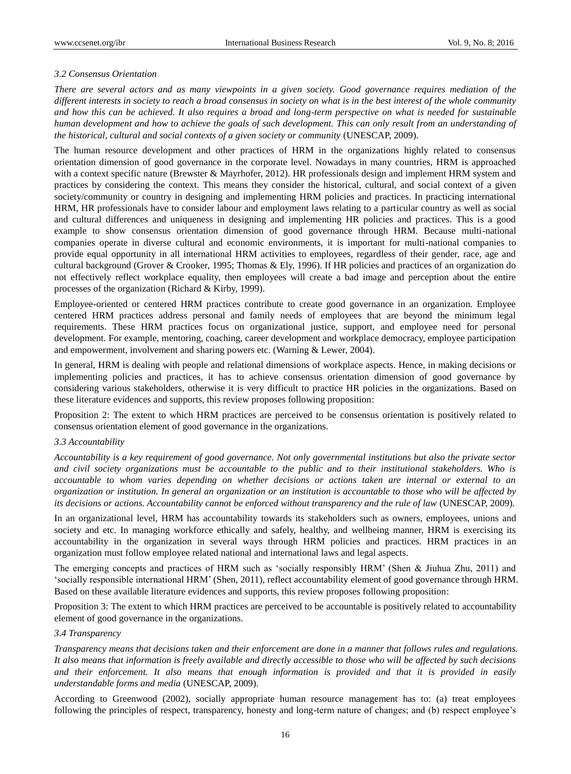#### *3.2 Consensus Orientation*

*There are several actors and as many viewpoints in a given society. Good governance requires mediation of the different interests in society to reach a broad consensus in society on what is in the best interest of the whole community and how this can be achieved. It also requires a broad and long-term perspective on what is needed for sustainable human development and how to achieve the goals of such development. This can only result from an understanding of the historical, cultural and social contexts of a given society or community* (UNESCAP, 2009).

The human resource development and other practices of HRM in the organizations highly related to consensus orientation dimension of good governance in the corporate level. Nowadays in many countries, HRM is approached with a context specific nature (Brewster & Mayrhofer, 2012). HR professionals design and implement HRM system and practices by considering the context. This means they consider the historical, cultural, and social context of a given society/community or country in designing and implementing HRM policies and practices. In practicing international HRM, HR professionals have to consider labour and employment laws relating to a particular country as well as social and cultural differences and uniqueness in designing and implementing HR policies and practices. This is a good example to show consensus orientation dimension of good governance through HRM. Because multi-national companies operate in diverse cultural and economic environments, it is important for multi-national companies to provide equal opportunity in all international HRM activities to employees, regardless of their gender, race, age and cultural background (Grover & Crooker, 1995; Thomas & Ely, 1996). If HR policies and practices of an organization do not effectively reflect workplace equality, then employees will create a bad image and perception about the entire processes of the organization (Richard & Kirby, 1999).

Employee-oriented or centered HRM practices contribute to create good governance in an organization. Employee centered HRM practices address personal and family needs of employees that are beyond the minimum legal requirements. These HRM practices focus on organizational justice, support, and employee need for personal development. For example, mentoring, coaching, career development and workplace democracy, employee participation and empowerment, involvement and sharing powers etc. (Warning & Lewer, 2004).

In general, HRM is dealing with people and relational dimensions of workplace aspects. Hence, in making decisions or implementing policies and practices, it has to achieve consensus orientation dimension of good governance by considering various stakeholders, otherwise it is very difficult to practice HR policies in the organizations. Based on these literature evidences and supports, this review proposes following proposition:

Proposition 2: The extent to which HRM practices are perceived to be consensus orientation is positively related to consensus orientation element of good governance in the organizations.

#### *3.3 Accountability*

*Accountability is a key requirement of good governance. Not only governmental institutions but also the private sector and civil society organizations must be accountable to the public and to their institutional stakeholders. Who is accountable to whom varies depending on whether decisions or actions taken are internal or external to an organization or institution. In general an organization or an institution is accountable to those who will be affected by its decisions or actions. Accountability cannot be enforced without transparency and the rule of law* (UNESCAP, 2009).

In an organizational level, HRM has accountability towards its stakeholders such as owners, employees, unions and society and etc. In managing workforce ethically and safely, healthy, and wellbeing manner, HRM is exercising its accountability in the organization in several ways through HRM policies and practices. HRM practices in an organization must follow employee related national and international laws and legal aspects.

The emerging concepts and practices of HRM such as "socially responsibly HRM" (Shen & Jiuhua Zhu, 2011) and "socially responsible international HRM" (Shen, 2011), reflect accountability element of good governance through HRM. Based on these available literature evidences and supports, this review proposes following proposition:

Proposition 3: The extent to which HRM practices are perceived to be accountable is positively related to accountability element of good governance in the organizations.

#### *3.4 Transparency*

*Transparency means that decisions taken and their enforcement are done in a manner that follows rules and regulations. It also means that information is freely available and directly accessible to those who will be affected by such decisions and their enforcement. It also means that enough information is provided and that it is provided in easily understandable forms and media* (UNESCAP, 2009).

According to Greenwood (2002), socially appropriate human resource management has to: (a) treat employees following the principles of respect, transparency, honesty and long-term nature of changes; and (b) respect employee's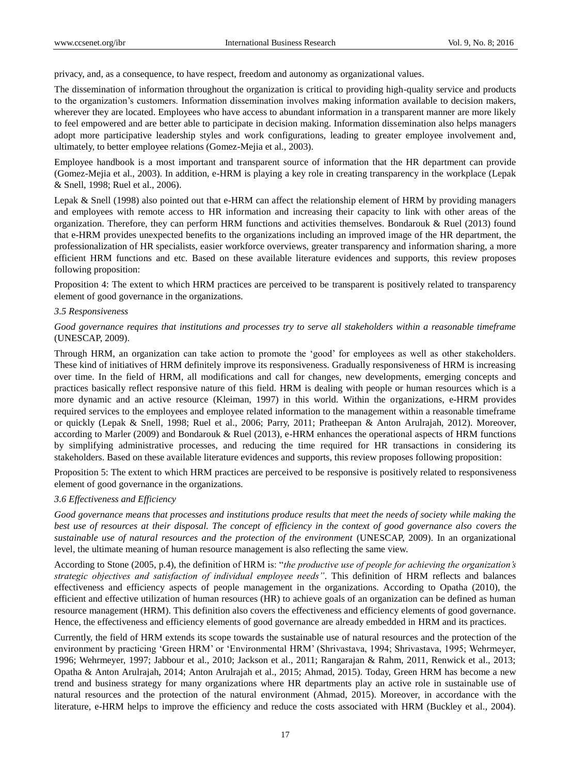privacy, and, as a consequence, to have respect, freedom and autonomy as organizational values.

The dissemination of information throughout the organization is critical to providing high-quality service and products to the organization"s customers. Information dissemination involves making information available to decision makers, wherever they are located. Employees who have access to abundant information in a transparent manner are more likely to feel empowered and are better able to participate in decision making. Information dissemination also helps managers adopt more participative leadership styles and work configurations, leading to greater employee involvement and, ultimately, to better employee relations (Gomez-Mejia et al., 2003).

Employee handbook is a most important and transparent source of information that the HR department can provide (Gomez-Mejia et al., 2003). In addition, e-HRM is playing a key role in creating transparency in the workplace (Lepak & Snell, 1998; Ruel et al., 2006).

Lepak & Snell (1998) also pointed out that e-HRM can affect the relationship element of HRM by providing managers and employees with remote access to HR information and increasing their capacity to link with other areas of the organization. Therefore, they can perform HRM functions and activities themselves. Bondarouk & Ruel (2013) found that e-HRM provides unexpected benefits to the organizations including an improved image of the HR department, the professionalization of HR specialists, easier workforce overviews, greater transparency and information sharing, a more efficient HRM functions and etc. Based on these available literature evidences and supports, this review proposes following proposition:

Proposition 4: The extent to which HRM practices are perceived to be transparent is positively related to transparency element of good governance in the organizations.

#### *3.5 Responsiveness*

## *Good governance requires that institutions and processes try to serve all stakeholders within a reasonable timeframe* (UNESCAP, 2009).

Through HRM, an organization can take action to promote the "good" for employees as well as other stakeholders. These kind of initiatives of HRM definitely improve its responsiveness. Gradually responsiveness of HRM is increasing over time. In the field of HRM, all modifications and call for changes, new developments, emerging concepts and practices basically reflect responsive nature of this field. HRM is dealing with people or human resources which is a more dynamic and an active resource (Kleiman, 1997) in this world. Within the organizations, e-HRM provides required services to the employees and employee related information to the management within a reasonable timeframe or quickly (Lepak & Snell, 1998; Ruel et al., 2006; Parry, 2011; Pratheepan & Anton Arulrajah, 2012). Moreover, according to Marler (2009) and Bondarouk & Ruel (2013), e-HRM enhances the operational aspects of HRM functions by simplifying administrative processes, and reducing the time required for HR transactions in considering its stakeholders. Based on these available literature evidences and supports, this review proposes following proposition:

Proposition 5: The extent to which HRM practices are perceived to be responsive is positively related to responsiveness element of good governance in the organizations.

## *3.6 Effectiveness and Efficiency*

*Good governance means that processes and institutions produce results that meet the needs of society while making the best use of resources at their disposal. The concept of efficiency in the context of good governance also covers the sustainable use of natural resources and the protection of the environment* (UNESCAP, 2009). In an organizational level, the ultimate meaning of human resource management is also reflecting the same view.

According to Stone (2005, p.4), the definition of HRM is: "*the productive use of people for achieving the organization's strategic objectives and satisfaction of individual employee needs"*. This definition of HRM reflects and balances effectiveness and efficiency aspects of people management in the organizations. According to Opatha (2010), the efficient and effective utilization of human resources (HR) to achieve goals of an organization can be defined as human resource management (HRM). This definition also covers the effectiveness and efficiency elements of good governance. Hence, the effectiveness and efficiency elements of good governance are already embedded in HRM and its practices.

Currently, the field of HRM extends its scope towards the sustainable use of natural resources and the protection of the environment by practicing "Green HRM" or "Environmental HRM" (Shrivastava, 1994; Shrivastava, 1995; Wehrmeyer, 1996; Wehrmeyer, 1997; Jabbour et al., 2010; Jackson et al., 2011; Rangarajan & Rahm, 2011, Renwick et al., 2013; Opatha & Anton Arulrajah, 2014; Anton Arulrajah et al., 2015; Ahmad, 2015). Today, Green HRM has become a new trend and business strategy for many organizations where HR departments play an active role in sustainable use of natural resources and the protection of the natural environment (Ahmad, 2015). Moreover, in accordance with the literature, e-HRM helps to improve the efficiency and reduce the costs associated with HRM (Buckley et al., 2004).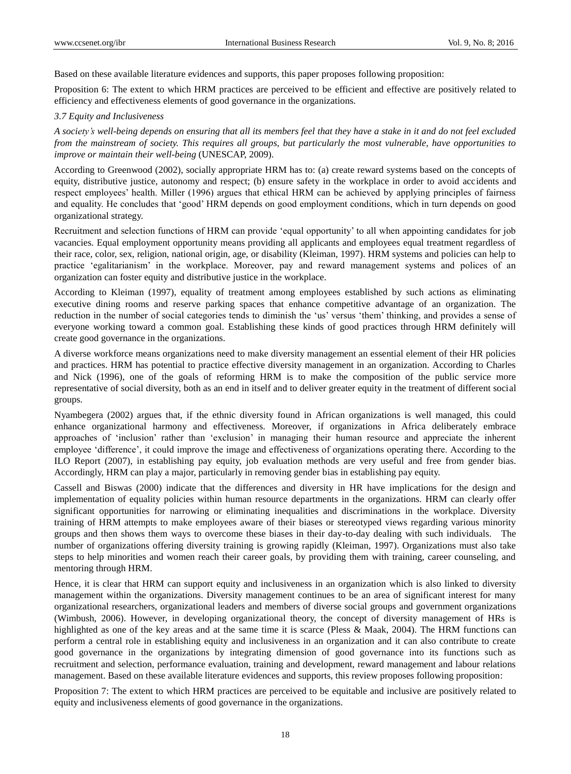Based on these available literature evidences and supports, this paper proposes following proposition:

Proposition 6: The extent to which HRM practices are perceived to be efficient and effective are positively related to efficiency and effectiveness elements of good governance in the organizations.

#### *3.7 Equity and Inclusiveness*

*A society's well-being depends on ensuring that all its members feel that they have a stake in it and do not feel excluded from the mainstream of society. This requires all groups, but particularly the most vulnerable, have opportunities to improve or maintain their well-being* (UNESCAP, 2009).

According to Greenwood (2002), socially appropriate HRM has to: (a) create reward systems based on the concepts of equity, distributive justice, autonomy and respect; (b) ensure safety in the workplace in order to avoid accidents and respect employees" health. Miller (1996) argues that ethical HRM can be achieved by applying principles of fairness and equality. He concludes that "good" HRM depends on good employment conditions, which in turn depends on good organizational strategy.

Recruitment and selection functions of HRM can provide "equal opportunity" to all when appointing candidates for job vacancies. Equal employment opportunity means providing all applicants and employees equal treatment regardless of their race, color, sex, religion, national origin, age, or disability (Kleiman, 1997). HRM systems and policies can help to practice "egalitarianism" in the workplace. Moreover, pay and reward management systems and polices of an organization can foster equity and distributive justice in the workplace.

According to Kleiman (1997), equality of treatment among employees established by such actions as eliminating executive dining rooms and reserve parking spaces that enhance competitive advantage of an organization. The reduction in the number of social categories tends to diminish the "us" versus "them" thinking, and provides a sense of everyone working toward a common goal. Establishing these kinds of good practices through HRM definitely will create good governance in the organizations.

A diverse workforce means organizations need to make diversity management an essential element of their HR policies and practices. HRM has potential to practice effective diversity management in an organization. According to Charles and Nick (1996), one of the goals of reforming HRM is to make the composition of the public service more representative of social diversity, both as an end in itself and to deliver greater equity in the treatment of different social groups.

Nyambegera (2002) argues that, if the ethnic diversity found in African organizations is well managed, this could enhance organizational harmony and effectiveness. Moreover, if organizations in Africa deliberately embrace approaches of "inclusion" rather than "exclusion" in managing their human resource and appreciate the inherent employee 'difference', it could improve the image and effectiveness of organizations operating there. According to the ILO Report (2007), in establishing pay equity, job evaluation methods are very useful and free from gender bias. Accordingly, HRM can play a major, particularly in removing gender bias in establishing pay equity.

Cassell and Biswas (2000) indicate that the differences and diversity in HR have implications for the design and implementation of equality policies within human resource departments in the organizations. HRM can clearly offer significant opportunities for narrowing or eliminating inequalities and discriminations in the workplace. Diversity training of HRM attempts to make employees aware of their biases or stereotyped views regarding various minority groups and then shows them ways to overcome these biases in their day-to-day dealing with such individuals. The number of organizations offering diversity training is growing rapidly (Kleiman, 1997). Organizations must also take steps to help minorities and women reach their career goals, by providing them with training, career counseling, and mentoring through HRM.

Hence, it is clear that HRM can support equity and inclusiveness in an organization which is also linked to diversity management within the organizations. Diversity management continues to be an area of significant interest for many organizational researchers, organizational leaders and members of diverse social groups and government organizations (Wimbush, 2006). However, in developing organizational theory, the concept of diversity management of HRs is highlighted as one of the key areas and at the same time it is scarce (Pless & Maak, 2004). The HRM functions can perform a central role in establishing equity and inclusiveness in an organization and it can also contribute to create good governance in the organizations by integrating dimension of good governance into its functions such as recruitment and selection, performance evaluation, training and development, reward management and labour relations management. Based on these available literature evidences and supports, this review proposes following proposition:

Proposition 7: The extent to which HRM practices are perceived to be equitable and inclusive are positively related to equity and inclusiveness elements of good governance in the organizations.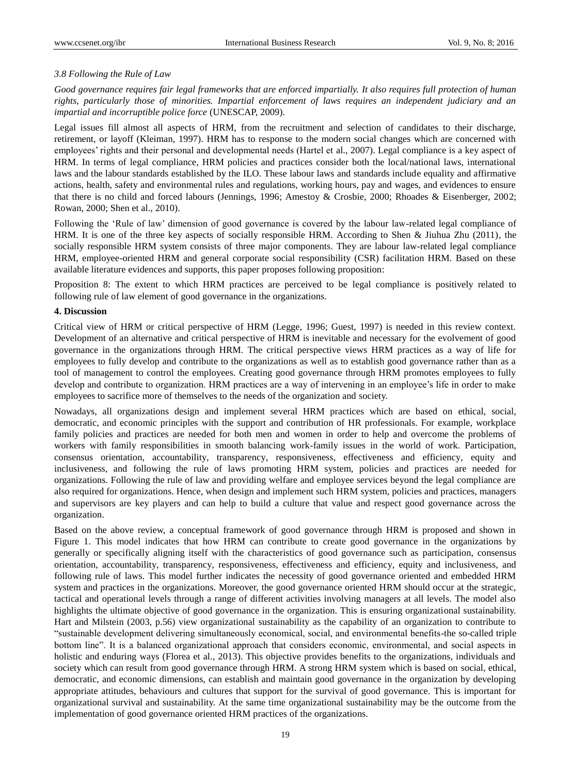## *3.8 Following the Rule of Law*

*Good governance requires fair legal frameworks that are enforced impartially. It also requires full protection of human rights, particularly those of minorities. Impartial enforcement of laws requires an independent judiciary and an impartial and incorruptible police force* (UNESCAP, 2009).

Legal issues fill almost all aspects of HRM, from the recruitment and selection of candidates to their discharge, retirement, or layoff (Kleiman, 1997). HRM has to response to the modern social changes which are concerned with employees' rights and their personal and developmental needs (Hartel et al., 2007). Legal compliance is a key aspect of HRM. In terms of legal compliance, HRM policies and practices consider both the local/national laws, international laws and the labour standards established by the ILO. These labour laws and standards include equality and affirmative actions, health, safety and environmental rules and regulations, working hours, pay and wages, and evidences to ensure that there is no child and forced labours (Jennings, 1996; Amestoy & Crosbie, 2000; Rhoades & Eisenberger, 2002; Rowan, 2000; Shen et al., 2010).

Following the "Rule of law" dimension of good governance is covered by the labour law-related legal compliance of HRM. It is one of the three key aspects of socially responsible HRM. According to Shen & Jiuhua Zhu (2011), the socially responsible HRM system consists of three major components. They are labour law-related legal compliance HRM, employee-oriented HRM and general corporate social responsibility (CSR) facilitation HRM. Based on these available literature evidences and supports, this paper proposes following proposition:

Proposition 8: The extent to which HRM practices are perceived to be legal compliance is positively related to following rule of law element of good governance in the organizations.

#### **4. Discussion**

Critical view of HRM or critical perspective of HRM (Legge, 1996; Guest, 1997) is needed in this review context. Development of an alternative and critical perspective of HRM is inevitable and necessary for the evolvement of good governance in the organizations through HRM. The critical perspective views HRM practices as a way of life for employees to fully develop and contribute to the organizations as well as to establish good governance rather than as a tool of management to control the employees. Creating good governance through HRM promotes employees to fully develop and contribute to organization. HRM practices are a way of intervening in an employee's life in order to make employees to sacrifice more of themselves to the needs of the organization and society.

Nowadays, all organizations design and implement several HRM practices which are based on ethical, social, democratic, and economic principles with the support and contribution of HR professionals. For example, workplace family policies and practices are needed for both men and women in order to help and overcome the problems of workers with family responsibilities in smooth balancing work-family issues in the world of work. Participation, consensus orientation, accountability, transparency, responsiveness, effectiveness and efficiency, equity and inclusiveness, and following the rule of laws promoting HRM system, policies and practices are needed for organizations. Following the rule of law and providing welfare and employee services beyond the legal compliance are also required for organizations. Hence, when design and implement such HRM system, policies and practices, managers and supervisors are key players and can help to build a culture that value and respect good governance across the organization.

Based on the above review, a conceptual framework of good governance through HRM is proposed and shown in Figure 1. This model indicates that how HRM can contribute to create good governance in the organizations by generally or specifically aligning itself with the characteristics of good governance such as participation, consensus orientation, accountability, transparency, responsiveness, effectiveness and efficiency, equity and inclusiveness, and following rule of laws. This model further indicates the necessity of good governance oriented and embedded HRM system and practices in the organizations. Moreover, the good governance oriented HRM should occur at the strategic, tactical and operational levels through a range of different activities involving managers at all levels. The model also highlights the ultimate objective of good governance in the organization. This is ensuring organizational sustainability. Hart and Milstein (2003, p.56) view organizational sustainability as the capability of an organization to contribute to "sustainable development delivering simultaneously economical, social, and environmental benefits-the so-called triple bottom line". It is a balanced organizational approach that considers economic, environmental, and social aspects in holistic and enduring ways (Florea et al., 2013). This objective provides benefits to the organizations, individuals and society which can result from good governance through HRM. A strong HRM system which is based on social, ethical, democratic, and economic dimensions, can establish and maintain good governance in the organization by developing appropriate attitudes, behaviours and cultures that support for the survival of good governance. This is important for organizational survival and sustainability. At the same time organizational sustainability may be the outcome from the implementation of good governance oriented HRM practices of the organizations.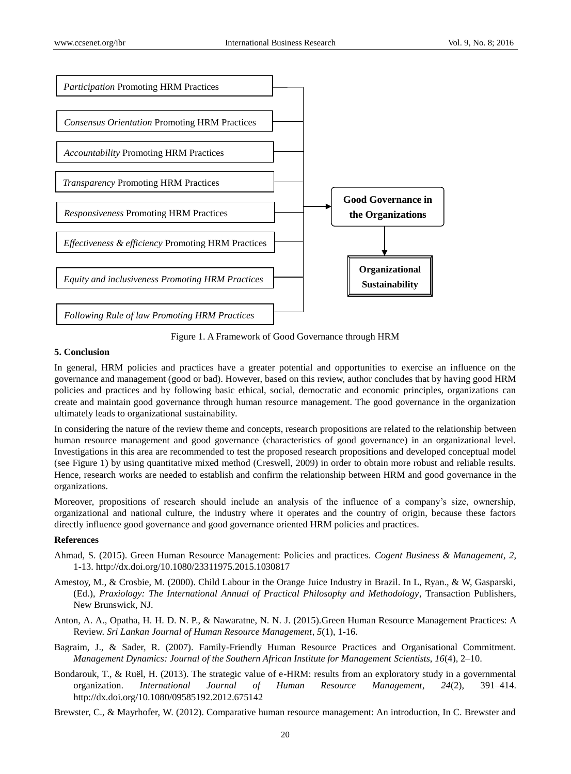

Figure 1. A Framework of Good Governance through HRM

## **5. Conclusion**

In general, HRM policies and practices have a greater potential and opportunities to exercise an influence on the governance and management (good or bad). However, based on this review, author concludes that by having good HRM policies and practices and by following basic ethical, social, democratic and economic principles, organizations can create and maintain good governance through human resource management. The good governance in the organization ultimately leads to organizational sustainability.

In considering the nature of the review theme and concepts, research propositions are related to the relationship between human resource management and good governance (characteristics of good governance) in an organizational level. Investigations in this area are recommended to test the proposed research propositions and developed conceptual model (see Figure 1) by using quantitative mixed method (Creswell, 2009) in order to obtain more robust and reliable results. Hence, research works are needed to establish and confirm the relationship between HRM and good governance in the organizations.

Moreover, propositions of research should include an analysis of the influence of a company"s size, ownership, organizational and national culture, the industry where it operates and the country of origin, because these factors directly influence good governance and good governance oriented HRM policies and practices.

#### **References**

- Ahmad, S. (2015). Green Human Resource Management: Policies and practices. *Cogent Business & Management, 2*, 1-13.<http://dx.doi.org/10.1080/23311975.2015.1030817>
- Amestoy, M., & Crosbie, M. (2000). Child Labour in the Orange Juice Industry in Brazil. In L, Ryan., & W, Gasparski, (Ed.), *Praxiology: The International Annual of Practical Philosophy and Methodology*, Transaction Publishers, New Brunswick, NJ.
- Anton, A. A., Opatha, H. H. D. N. P., & Nawaratne, N. N. J. (2015)[.Green Human Resource Management Practices: A](https://scholar.google.com/scholar?oi=bibs&cluster=10242945732160683398&btnI=1&hl=en)  [Review.](https://scholar.google.com/scholar?oi=bibs&cluster=10242945732160683398&btnI=1&hl=en) *Sri Lankan Journal of Human Resource Management*, *5*(1), 1-16.
- Bagraim, J., & Sader, R. (2007). Family-Friendly Human Resource Practices and Organisational Commitment. *Management Dynamics: Journal of the Southern African Institute for Management Scientists*, *16*(4), 2–10.
- Bondarouk, T., & Ruël, H. (2013). The strategic value of e-HRM: results from an exploratory study in a governmental organization. *International Journal of Human Resource Management*, *24*(2), 391–414. http://dx.doi.org/10.1080/09585192.2012.675142
- Brewster, C., & Mayrhofer, W. (2012). Comparative human resource management: An introduction, In C. Brewster and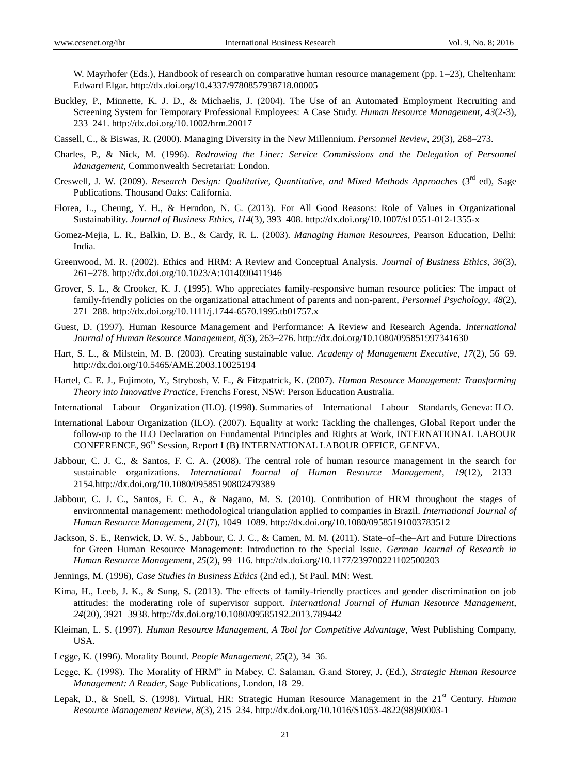W. Mayrhofer (Eds.), Handbook of research on comparative human resource management (pp. 1–23), Cheltenham: Edward Elgar.<http://dx.doi.org/10.4337/9780857938718.00005>

- Buckley, P., Minnette, K. J. D., & Michaelis, J. (2004). The Use of an Automated Employment Recruiting and Screening System for Temporary Professional Employees: A Case Study. *Human Resource Management*, *43*(2-3), 233–241[. http://dx.doi.org/10.1002/hrm.20017](http://dx.doi.org/10.1002/hrm.20017)
- Cassell, C., & Biswas, R. (2000). Managing Diversity in the New Millennium. *Personnel Review*, *29*(3), 268–273.
- Charles, P., & Nick, M. (1996). *Redrawing the Liner: Service Commissions and the Delegation of Personnel Management,* Commonwealth Secretariat: London.
- Creswell, J. W. (2009). *Research Design: Qualitative, Quantitative, and Mixed Methods Approaches* (3<sup>rd</sup> ed), Sage Publications. Thousand Oaks: California.
- Florea, L., Cheung, Y. H., & Herndon, N. C. (2013). For All Good Reasons: Role of Values in Organizational Sustainability. *Journal of Business Ethics*, *114*(3), 393–408[. http://dx.doi.org/10.1007/s10551-012-1355-x](http://dx.doi.org/10.1007/s10551-012-1355-x)
- Gomez-Mejia, L. R., Balkin, D. B., & Cardy, R. L. (2003). *Managing Human Resources*, Pearson Education, Delhi: India.
- Greenwood, M. R. (2002). Ethics and HRM: A Review and Conceptual Analysis. *Journal of Business Ethics*, *36*(3), 261–278[. http://dx.doi.org/10.1023/A:1014090411946](http://dx.doi.org/10.1023/A:1014090411946)
- Grover, S. L., & Crooker, K. J. (1995). Who appreciates family-responsive human resource policies: The impact of family-friendly policies on the organizational attachment of parents and non-parent, *Personnel Psychology*, *48*(2), 271–288[. http://dx.doi.org/10.1111/j.1744-6570.1995.tb01757.x](http://dx.doi.org/10.1111/j.1744-6570.1995.tb01757.x)
- Guest, D. (1997). Human Resource Management and Performance: A Review and Research Agenda. *International Journal of Human Resource Management, 8*(3), 263–276. http://dx.doi.org/10.1080/095851997341630
- Hart, S. L., & Milstein, M. B. (2003). Creating sustainable value. *Academy of Management Executive*, *17*(2), 56–69. <http://dx.doi.org/10.5465/AME.2003.10025194>
- Hartel, C. E. J., Fujimoto, Y., Strybosh, V. E., & Fitzpatrick, K. (2007). *Human Resource Management: Transforming Theory into Innovative Practice*, Frenchs Forest, NSW: Person Education Australia.
- International Labour Organization (ILO). (1998). Summaries of International Labour Standards, Geneva: ILO.
- International Labour Organization (ILO). (2007). Equality at work: Tackling the challenges, Global Report under the follow-up to the ILO Declaration on Fundamental Principles and Rights at Work, INTERNATIONAL LABOUR CONFERENCE, 96<sup>th</sup> Session, Report I (B) INTERNATIONAL LABOUR OFFICE, GENEVA.
- Jabbour, C. J. C., & Santos, F. C. A. (2008). The central role of human resource management in the search for sustainable organizations. *International Journal of Human Resource Management*, *19*(12), 2133– 2154.http://dx.doi.org/10.1080/09585190802479389
- Jabbour, C. J. C., Santos, F. C. A., & Nagano, M. S. (2010). Contribution of HRM throughout the stages of environmental management: methodological triangulation applied to companies in Brazil. *International Journal of Human Resource Management*, *21*(7), 1049–1089.<http://dx.doi.org/10.1080/09585191003783512>
- Jackson, S. E., Renwick, D. W. S., Jabbour, C. J. C., & Camen, M. M. (2011). State–of–the–Art and Future Directions for Green Human Resource Management: Introduction to the Special Issue. *German Journal of Research in Human Resource Management*, *25*(2), 99–116[. http://dx.doi.org/10.1177/239700221102500203](http://dx.doi.org/10.1177/239700221102500203)
- Jennings, M. (1996), *Case Studies in Business Ethics* (2nd ed.), St Paul. MN: West.
- Kima, H., Leeb, J. K., & Sung, S. (2013). The effects of family-friendly practices and gender discrimination on job attitudes: the moderating role of supervisor support. *International Journal of Human Resource Management*, *24*(20), 3921–3938. http://dx.doi.org/10.1080/09585192.2013.789442
- Kleiman, L. S. (1997). *Human Resource Management, A Tool for Competitive Advantage*, West Publishing Company, USA.
- Legge, K. (1996). Morality Bound. *People Management, 25*(2), 34–36.
- Legge, K. (1998). The Morality of HRM" in Mabey, C. Salaman, G.and Storey, J. (Ed.), *Strategic Human Resource Management: A Reader*, Sage Publications, London, 18–29.
- Lepak, D., & Snell, S. (1998). Virtual, HR: Strategic Human Resource Management in the 21<sup>st</sup> Century. *Human Resource Management Review*, *8*(3), 215–234. [http://dx.doi.org/10.1016/S1053-4822\(98\)90003-1](http://dx.doi.org/10.1016/S1053-4822%2898%2990003-1)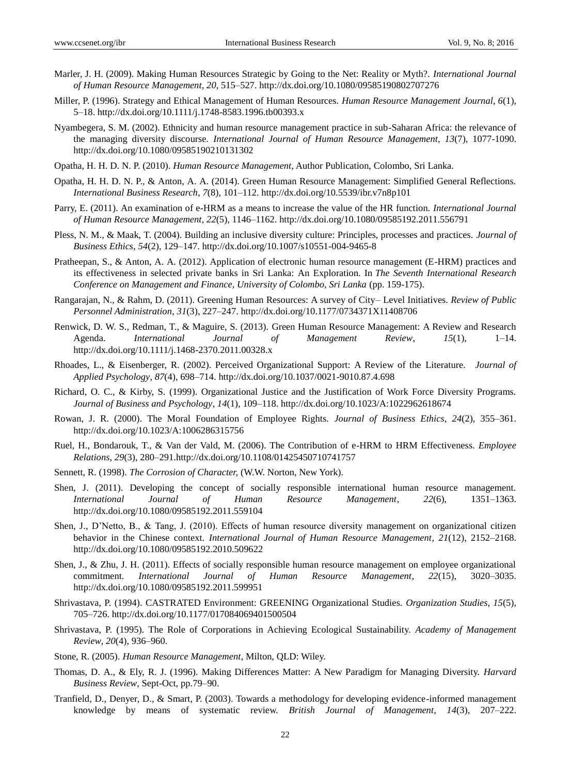- Marler, J. H. (2009). Making Human Resources Strategic by Going to the Net: Reality or Myth?. *International Journal of Human Resource Management*, *20*, 515–527. http://dx.doi.org/10.1080/09585190802707276
- Miller, P. (1996). Strategy and Ethical Management of Human Resources. *Human Resource Management Journal, 6*(1), 5–18[. http://dx.doi.org/10.1111/j.1748-8583.1996.tb00393.x](http://dx.doi.org/10.1111/j.1748-8583.1996.tb00393.x)
- Nyambegera, S. M. (2002). Ethnicity and human resource management practice in sub-Saharan Africa: the relevance of the managing diversity discourse. *International Journal of Human Resource Management*, *13*(7), 1077-1090. <http://dx.doi.org/10.1080/09585190210131302>
- Opatha, H. H. D. N. P. (2010). *Human Resource Management*, Author Publication, Colombo, Sri Lanka.
- Opatha, H. H. D. N. P., & Anton, A. A. (2014). Green Human Resource Management: Simplified General Reflections. *International Business Research*, *7*(8), 101–112[. http://dx.doi.org/10.5539/ibr.v7n8p101](http://dx.doi.org/10.5539/ibr.v7n8p101)
- Parry, E. (2011). An examination of e-HRM as a means to increase the value of the HR function. *International Journal of Human Resource Management*, *22*(5), 1146–1162.<http://dx.doi.org/10.1080/09585192.2011.556791>
- Pless, N. M., & Maak, T. (2004). Building an inclusive diversity culture: Principles, processes and practices. *Journal of Business Ethics*, *54*(2), 129–147. <http://dx.doi.org/10.1007/s10551-004-9465-8>
- Pratheepan, S., & Anton, A. A. (2012). Application of electronic human resource management (E-HRM) practices and its effectiveness in selected private banks in Sri Lanka: An Exploration. In *The Seventh International Research Conference on Management and Finance, University of Colombo, Sri Lanka* (pp. 159-175).
- Rangarajan, N., & Rahm, D. (2011). Greening Human Resources: A survey of City– Level Initiatives. *Review of Public Personnel Administration*, *31*(3), 227–247.<http://dx.doi.org/10.1177/0734371X11408706>
- Renwick, D. W. S., Redman, T., & Maguire, S. (2013). Green Human Resource Management: A Review and Research Agenda. *International Journal of Management Review*, *15*(1), 1–14. <http://dx.doi.org/10.1111/j.1468-2370.2011.00328.x>
- Rhoades, L., & Eisenberger, R. (2002). Perceived Organizational Support: A Review of the Literature. *Journal of Applied Psychology*, *87*(4), 698–714.<http://dx.doi.org/10.1037/0021-9010.87.4.698>
- Richard, O. C., & Kirby, S. (1999). Organizational Justice and the Justification of Work Force Diversity Programs. *Journal of Business and Psychology*, *14*(1), 109–118. <http://dx.doi.org/10.1023/A:1022962618674>
- Rowan, J. R. (2000). The Moral Foundation of Employee Rights. *Journal of Business Ethics*, *24*(2), 355–361. <http://dx.doi.org/10.1023/A:1006286315756>
- Ruel, H., Bondarouk, T., & Van der Vald, M. (2006). The Contribution of e-HRM to HRM Effectiveness. *Employee Relations*, *29*(3), 280–291.http://dx.doi.org/10.1108/01425450710741757
- Sennett, R. (1998). *The Corrosion of Character,* (W.W. Norton, New York).
- Shen, J. (2011). Developing the concept of socially responsible international human resource management. *International Journal of Human Resource Management*, *22*(6), 1351–1363. http://dx.doi.org/10.1080/09585192.2011.559104
- Shen, J., D"Netto, B., & Tang, J. (2010). Effects of human resource diversity management on organizational citizen behavior in the Chinese context. *International Journal of Human Resource Management*, *21*(12), 2152–2168. http://dx.doi.org/10.1080/09585192.2010.509622
- Shen, J., & Zhu, J. H. (2011). Effects of socially responsible human resource management on employee organizational commitment. *International Journal of Human Resource Management*, *22*(15), 3020–3035. <http://dx.doi.org/10.1080/09585192.2011.599951>
- Shrivastava, P. (1994). CASTRATED Environment: GREENING Organizational Studies. *Organization Studies*, *15*(5), 705–726[. http://dx.doi.org/10.1177/017084069401500504](http://dx.doi.org/10.1177/017084069401500504)
- Shrivastava, P. (1995). The Role of Corporations in Achieving Ecological Sustainability. *Academy of Management Review*, *20*(4), 936–960.
- Stone, R. (2005). *Human Resource Management*, Milton, QLD: Wiley.
- Thomas, D. A., & Ely, R. J. (1996). Making Differences Matter: A New Paradigm for Managing Diversity. *Harvard Business Review*, Sept-Oct, pp.79–90.
- Tranfield, D., Denyer, D., & Smart, P. (2003). Towards a methodology for developing evidence-informed management knowledge by means of systematic review. *British Journal of Management, 14*(3), 207–222.